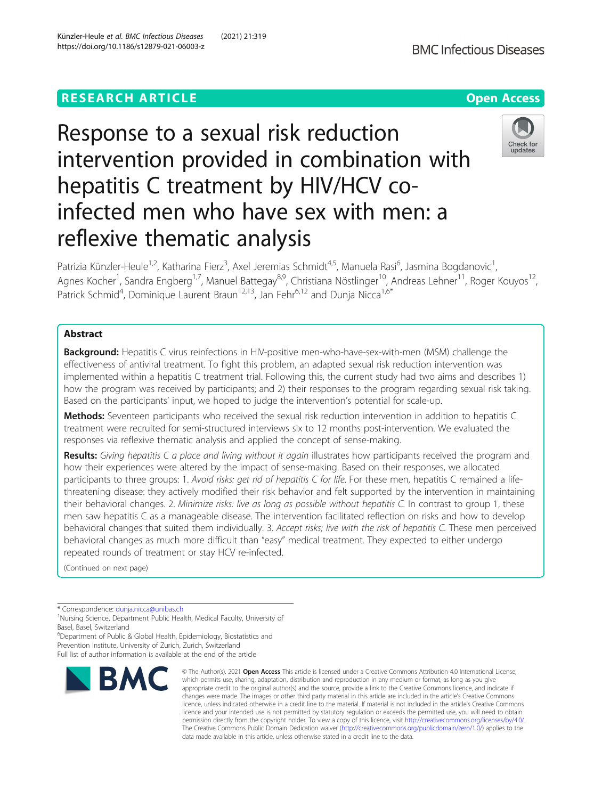# **RESEARCH ARTICLE Example 2014 12:30 The Contract of Contract ACCESS**

# Response to a sexual risk reduction intervention provided in combination with hepatitis C treatment by HIV/HCV coinfected men who have sex with men: a reflexive thematic analysis

Patrizia Künzler-Heule<sup>1,2</sup>, Katharina Fierz<sup>3</sup>, Axel Jeremias Schmidt<sup>4,5</sup>, Manuela Rasi<sup>6</sup>, Jasmina Bogdanovic<sup>1</sup> , Agnes Kocher<sup>1</sup>, Sandra Engberg<sup>1,7</sup>, Manuel Battegay<sup>8,9</sup>, Christiana Nöstlinger<sup>10</sup>, Andreas Lehner<sup>11</sup>, Roger Kouyos<sup>12</sup>, Patrick Schmid<sup>4</sup>, Dominique Laurent Braun<sup>12,13</sup>, Jan Fehr<sup>6,12</sup> and Dunja Nicca<sup>1,6\*</sup>

# Abstract

Background: Hepatitis C virus reinfections in HIV-positive men-who-have-sex-with-men (MSM) challenge the effectiveness of antiviral treatment. To fight this problem, an adapted sexual risk reduction intervention was implemented within a hepatitis C treatment trial. Following this, the current study had two aims and describes 1) how the program was received by participants; and 2) their responses to the program regarding sexual risk taking. Based on the participants' input, we hoped to judge the intervention's potential for scale-up.

Methods: Seventeen participants who received the sexual risk reduction intervention in addition to hepatitis C treatment were recruited for semi-structured interviews six to 12 months post-intervention. We evaluated the responses via reflexive thematic analysis and applied the concept of sense-making.

Results: Giving hepatitis C a place and living without it again illustrates how participants received the program and how their experiences were altered by the impact of sense-making. Based on their responses, we allocated participants to three groups: 1. Avoid risks: get rid of hepatitis C for life. For these men, hepatitis C remained a lifethreatening disease: they actively modified their risk behavior and felt supported by the intervention in maintaining their behavioral changes. 2. Minimize risks: live as long as possible without hepatitis C. In contrast to group 1, these men saw hepatitis C as a manageable disease. The intervention facilitated reflection on risks and how to develop behavioral changes that suited them individually. 3. Accept risks; live with the risk of hepatitis C. These men perceived behavioral changes as much more difficult than "easy" medical treatment. They expected to either undergo repeated rounds of treatment or stay HCV re-infected.

(Continued on next page)

\* Correspondence: [dunja.nicca@unibas.ch](mailto:dunja.nicca@unibas.ch) <sup>1</sup>

<sup>1</sup>Nursing Science, Department Public Health, Medical Faculty, University of Basel, Basel, Switzerland

<sup>6</sup>Department of Public & Global Health, Epidemiology, Biostatistics and Prevention Institute, University of Zurich, Zurich, Switzerland Full list of author information is available at the end of the article







<sup>©</sup> The Author(s), 2021 **Open Access** This article is licensed under a Creative Commons Attribution 4.0 International License, which permits use, sharing, adaptation, distribution and reproduction in any medium or format, as long as you give appropriate credit to the original author(s) and the source, provide a link to the Creative Commons licence, and indicate if changes were made. The images or other third party material in this article are included in the article's Creative Commons licence, unless indicated otherwise in a credit line to the material. If material is not included in the article's Creative Commons licence and your intended use is not permitted by statutory regulation or exceeds the permitted use, you will need to obtain permission directly from the copyright holder. To view a copy of this licence, visit [http://creativecommons.org/licenses/by/4.0/.](http://creativecommons.org/licenses/by/4.0/) The Creative Commons Public Domain Dedication waiver [\(http://creativecommons.org/publicdomain/zero/1.0/](http://creativecommons.org/publicdomain/zero/1.0/)) applies to the data made available in this article, unless otherwise stated in a credit line to the data.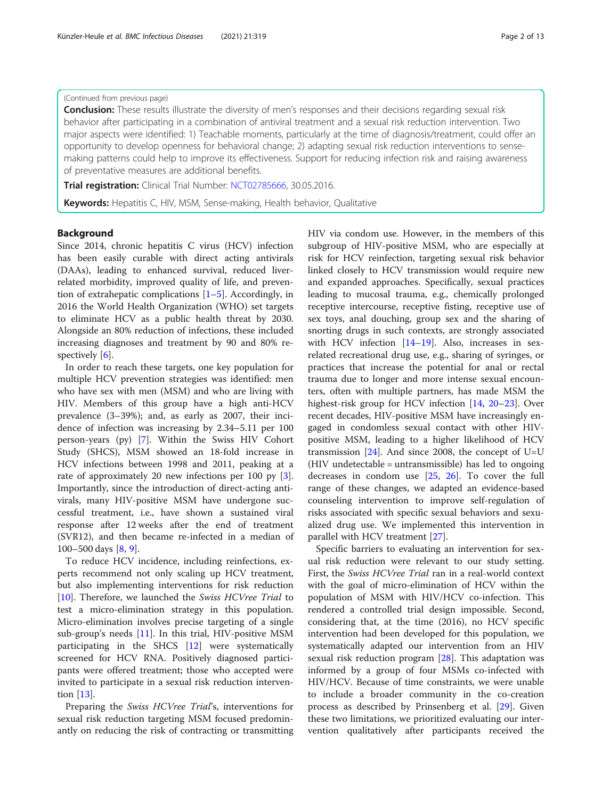# (Continued from previous page)

**Conclusion:** These results illustrate the diversity of men's responses and their decisions regarding sexual risk behavior after participating in a combination of antiviral treatment and a sexual risk reduction intervention. Two major aspects were identified: 1) Teachable moments, particularly at the time of diagnosis/treatment, could offer an opportunity to develop openness for behavioral change; 2) adapting sexual risk reduction interventions to sensemaking patterns could help to improve its effectiveness. Support for reducing infection risk and raising awareness of preventative measures are additional benefits.

Trial registration: Clinical Trial Number: [NCT02785666](https://clinicaltrials.gov/ct2/show/NCT02785666), 30.05.2016.

Keywords: Hepatitis C, HIV, MSM, Sense-making, Health behavior, Qualitative

### Background

Since 2014, chronic hepatitis C virus (HCV) infection has been easily curable with direct acting antivirals (DAAs), leading to enhanced survival, reduced liverrelated morbidity, improved quality of life, and prevention of extrahepatic complications [[1](#page-11-0)–[5](#page-11-0)]. Accordingly, in 2016 the World Health Organization (WHO) set targets to eliminate HCV as a public health threat by 2030. Alongside an 80% reduction of infections, these included increasing diagnoses and treatment by 90 and 80% respectively [\[6](#page-11-0)].

In order to reach these targets, one key population for multiple HCV prevention strategies was identified: men who have sex with men (MSM) and who are living with HIV. Members of this group have a high anti-HCV prevalence (3–39%); and, as early as 2007, their incidence of infection was increasing by 2.34–5.11 per 100 person-years (py) [[7\]](#page-11-0). Within the Swiss HIV Cohort Study (SHCS), MSM showed an 18-fold increase in HCV infections between 1998 and 2011, peaking at a rate of approximately 20 new infections per 100 py [\[3](#page-11-0)]. Importantly, since the introduction of direct-acting antivirals, many HIV-positive MSM have undergone successful treatment, i.e., have shown a sustained viral response after 12 weeks after the end of treatment (SVR12), and then became re-infected in a median of 100–500 days [[8,](#page-11-0) [9\]](#page-11-0).

To reduce HCV incidence, including reinfections, experts recommend not only scaling up HCV treatment, but also implementing interventions for risk reduction [[10\]](#page-11-0). Therefore, we launched the Swiss HCVree Trial to test a micro-elimination strategy in this population. Micro-elimination involves precise targeting of a single sub-group's needs [\[11](#page-11-0)]. In this trial, HIV-positive MSM participating in the SHCS [[12\]](#page-11-0) were systematically screened for HCV RNA. Positively diagnosed participants were offered treatment; those who accepted were invited to participate in a sexual risk reduction intervention [\[13\]](#page-11-0).

Preparing the Swiss HCVree Trial's, interventions for sexual risk reduction targeting MSM focused predominantly on reducing the risk of contracting or transmitting HIV via condom use. However, in the members of this subgroup of HIV-positive MSM, who are especially at risk for HCV reinfection, targeting sexual risk behavior linked closely to HCV transmission would require new and expanded approaches. Specifically, sexual practices leading to mucosal trauma, e.g., chemically prolonged receptive intercourse, receptive fisting, receptive use of sex toys, anal douching, group sex and the sharing of snorting drugs in such contexts, are strongly associated with HCV infection [\[14](#page-11-0)–[19\]](#page-11-0). Also, increases in sexrelated recreational drug use, e.g., sharing of syringes, or practices that increase the potential for anal or rectal trauma due to longer and more intense sexual encounters, often with multiple partners, has made MSM the highest-risk group for HCV infection [[14,](#page-11-0) [20](#page-11-0)–[23](#page-12-0)]. Over recent decades, HIV-positive MSM have increasingly engaged in condomless sexual contact with other HIVpositive MSM, leading to a higher likelihood of HCV transmission  $[24]$  $[24]$  $[24]$ . And since 2008, the concept of U=U (HIV undetectable = untransmissible) has led to ongoing decreases in condom use [[25](#page-12-0), [26\]](#page-12-0). To cover the full range of these changes, we adapted an evidence-based counseling intervention to improve self-regulation of risks associated with specific sexual behaviors and sexualized drug use. We implemented this intervention in parallel with HCV treatment [\[27](#page-12-0)].

Specific barriers to evaluating an intervention for sexual risk reduction were relevant to our study setting. First, the Swiss HCVree Trial ran in a real-world context with the goal of micro-elimination of HCV within the population of MSM with HIV/HCV co-infection. This rendered a controlled trial design impossible. Second, considering that, at the time (2016), no HCV specific intervention had been developed for this population, we systematically adapted our intervention from an HIV sexual risk reduction program [[28](#page-12-0)]. This adaptation was informed by a group of four MSMs co-infected with HIV/HCV. Because of time constraints, we were unable to include a broader community in the co-creation process as described by Prinsenberg et al. [\[29](#page-12-0)]. Given these two limitations, we prioritized evaluating our intervention qualitatively after participants received the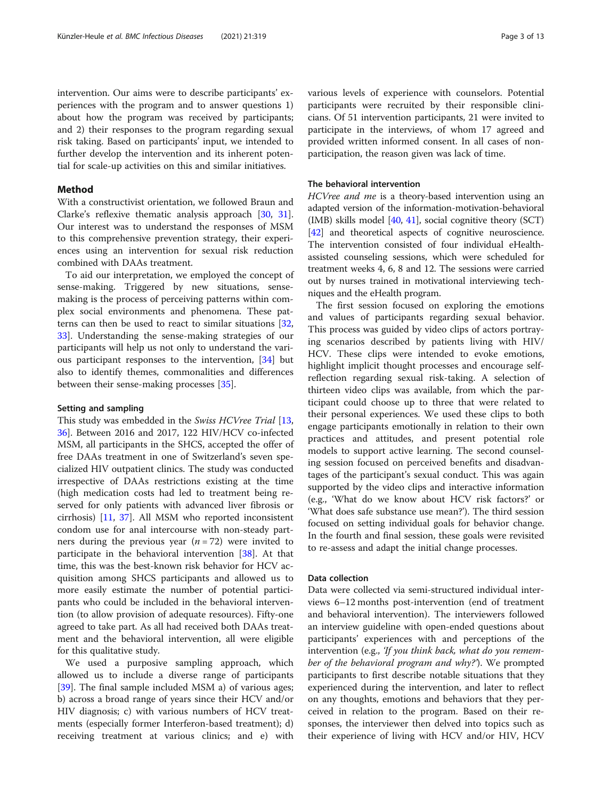intervention. Our aims were to describe participants' experiences with the program and to answer questions 1) about how the program was received by participants; and 2) their responses to the program regarding sexual risk taking. Based on participants' input, we intended to further develop the intervention and its inherent potential for scale-up activities on this and similar initiatives.

# Method

With a constructivist orientation, we followed Braun and Clarke's reflexive thematic analysis approach [[30,](#page-12-0) [31](#page-12-0)]. Our interest was to understand the responses of MSM to this comprehensive prevention strategy, their experiences using an intervention for sexual risk reduction combined with DAAs treatment.

To aid our interpretation, we employed the concept of sense-making. Triggered by new situations, sensemaking is the process of perceiving patterns within complex social environments and phenomena. These patterns can then be used to react to similar situations [[32](#page-12-0), [33\]](#page-12-0). Understanding the sense-making strategies of our participants will help us not only to understand the various participant responses to the intervention, [\[34](#page-12-0)] but also to identify themes, commonalities and differences between their sense-making processes [[35](#page-12-0)].

# Setting and sampling

This study was embedded in the Swiss HCVree Trial [[13](#page-11-0), [36\]](#page-12-0). Between 2016 and 2017, 122 HIV/HCV co-infected MSM, all participants in the SHCS, accepted the offer of free DAAs treatment in one of Switzerland's seven specialized HIV outpatient clinics. The study was conducted irrespective of DAAs restrictions existing at the time (high medication costs had led to treatment being reserved for only patients with advanced liver fibrosis or cirrhosis) [\[11,](#page-11-0) [37\]](#page-12-0). All MSM who reported inconsistent condom use for anal intercourse with non-steady partners during the previous year  $(n = 72)$  were invited to participate in the behavioral intervention [[38](#page-12-0)]. At that time, this was the best-known risk behavior for HCV acquisition among SHCS participants and allowed us to more easily estimate the number of potential participants who could be included in the behavioral intervention (to allow provision of adequate resources). Fifty-one agreed to take part. As all had received both DAAs treatment and the behavioral intervention, all were eligible for this qualitative study.

We used a purposive sampling approach, which allowed us to include a diverse range of participants [[39\]](#page-12-0). The final sample included MSM a) of various ages; b) across a broad range of years since their HCV and/or HIV diagnosis; c) with various numbers of HCV treatments (especially former Interferon-based treatment); d) receiving treatment at various clinics; and e) with various levels of experience with counselors. Potential participants were recruited by their responsible clinicians. Of 51 intervention participants, 21 were invited to participate in the interviews, of whom 17 agreed and provided written informed consent. In all cases of nonparticipation, the reason given was lack of time.

# The behavioral intervention

HCVree and me is a theory-based intervention using an adapted version of the information-motivation-behavioral (IMB) skills model  $[40, 41]$  $[40, 41]$  $[40, 41]$  $[40, 41]$ , social cognitive theory (SCT) [[42](#page-12-0)] and theoretical aspects of cognitive neuroscience. The intervention consisted of four individual eHealthassisted counseling sessions, which were scheduled for treatment weeks 4, 6, 8 and 12. The sessions were carried out by nurses trained in motivational interviewing techniques and the eHealth program.

The first session focused on exploring the emotions and values of participants regarding sexual behavior. This process was guided by video clips of actors portraying scenarios described by patients living with HIV/ HCV. These clips were intended to evoke emotions, highlight implicit thought processes and encourage selfreflection regarding sexual risk-taking. A selection of thirteen video clips was available, from which the participant could choose up to three that were related to their personal experiences. We used these clips to both engage participants emotionally in relation to their own practices and attitudes, and present potential role models to support active learning. The second counseling session focused on perceived benefits and disadvantages of the participant's sexual conduct. This was again supported by the video clips and interactive information (e.g., 'What do we know about HCV risk factors?' or 'What does safe substance use mean?'). The third session focused on setting individual goals for behavior change. In the fourth and final session, these goals were revisited to re-assess and adapt the initial change processes.

# Data collection

Data were collected via semi-structured individual interviews 6–12 months post-intervention (end of treatment and behavioral intervention). The interviewers followed an interview guideline with open-ended questions about participants' experiences with and perceptions of the intervention (e.g., 'If you think back, what do you remember of the behavioral program and why?'). We prompted participants to first describe notable situations that they experienced during the intervention, and later to reflect on any thoughts, emotions and behaviors that they perceived in relation to the program. Based on their responses, the interviewer then delved into topics such as their experience of living with HCV and/or HIV, HCV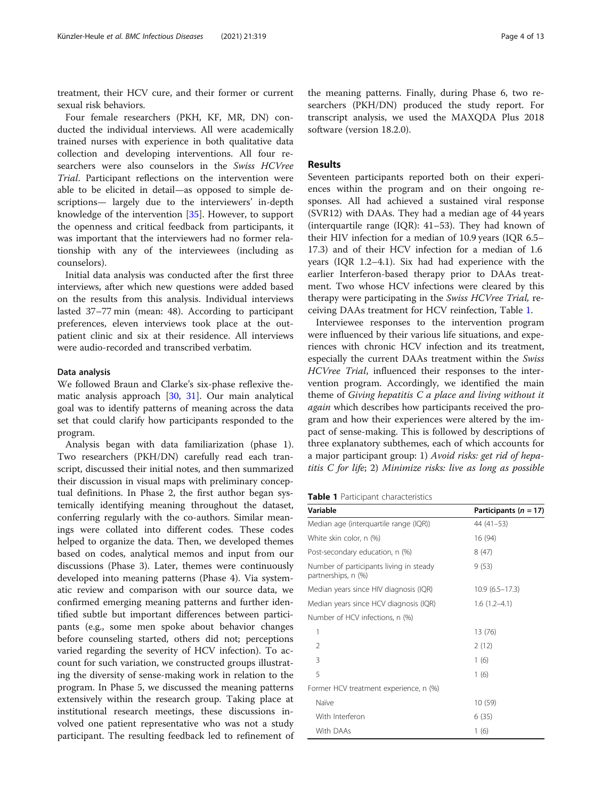treatment, their HCV cure, and their former or current sexual risk behaviors.

Four female researchers (PKH, KF, MR, DN) conducted the individual interviews. All were academically trained nurses with experience in both qualitative data collection and developing interventions. All four researchers were also counselors in the Swiss HCVree Trial. Participant reflections on the intervention were able to be elicited in detail—as opposed to simple descriptions— largely due to the interviewers' in-depth knowledge of the intervention [\[35](#page-12-0)]. However, to support the openness and critical feedback from participants, it was important that the interviewers had no former relationship with any of the interviewees (including as counselors).

Initial data analysis was conducted after the first three interviews, after which new questions were added based on the results from this analysis. Individual interviews lasted 37–77 min (mean: 48). According to participant preferences, eleven interviews took place at the outpatient clinic and six at their residence. All interviews were audio-recorded and transcribed verbatim.

#### Data analysis

We followed Braun and Clarke's six-phase reflexive thematic analysis approach [\[30,](#page-12-0) [31](#page-12-0)]. Our main analytical goal was to identify patterns of meaning across the data set that could clarify how participants responded to the program.

Analysis began with data familiarization (phase 1). Two researchers (PKH/DN) carefully read each transcript, discussed their initial notes, and then summarized their discussion in visual maps with preliminary conceptual definitions. In Phase 2, the first author began systemically identifying meaning throughout the dataset, conferring regularly with the co-authors. Similar meanings were collated into different codes. These codes helped to organize the data. Then, we developed themes based on codes, analytical memos and input from our discussions (Phase 3). Later, themes were continuously developed into meaning patterns (Phase 4). Via systematic review and comparison with our source data, we confirmed emerging meaning patterns and further identified subtle but important differences between participants (e.g., some men spoke about behavior changes before counseling started, others did not; perceptions varied regarding the severity of HCV infection). To account for such variation, we constructed groups illustrating the diversity of sense-making work in relation to the program. In Phase 5, we discussed the meaning patterns extensively within the research group. Taking place at institutional research meetings, these discussions involved one patient representative who was not a study participant. The resulting feedback led to refinement of

the meaning patterns. Finally, during Phase 6, two researchers (PKH/DN) produced the study report. For transcript analysis, we used the MAXQDA Plus 2018 software (version 18.2.0).

# Results

Seventeen participants reported both on their experiences within the program and on their ongoing responses. All had achieved a sustained viral response (SVR12) with DAAs. They had a median age of 44 years (interquartile range (IQR):  $41-53$ ). They had known of their HIV infection for a median of 10.9 years (IQR 6.5– 17.3) and of their HCV infection for a median of 1.6 years (IQR 1.2–4.1). Six had had experience with the earlier Interferon-based therapy prior to DAAs treatment. Two whose HCV infections were cleared by this therapy were participating in the Swiss HCVree Trial, receiving DAAs treatment for HCV reinfection, Table 1.

Interviewee responses to the intervention program were influenced by their various life situations, and experiences with chronic HCV infection and its treatment, especially the current DAAs treatment within the Swiss HCVree Trial, influenced their responses to the intervention program. Accordingly, we identified the main theme of Giving hepatitis  $C$  a place and living without it again which describes how participants received the program and how their experiences were altered by the impact of sense-making. This is followed by descriptions of three explanatory subthemes, each of which accounts for a major participant group: 1) Avoid risks: get rid of hepatitis C for life; 2) Minimize risks: live as long as possible

|  |  | Table 1 Participant characteristics |
|--|--|-------------------------------------|
|--|--|-------------------------------------|

| Variable                                                       | Participants ( $n = 17$ ) |
|----------------------------------------------------------------|---------------------------|
| Median age (interquartile range (IQR))                         | $44(41-53)$               |
| White skin color, n (%)                                        | 16 (94)                   |
| Post-secondary education, n (%)                                | 8(47)                     |
| Number of participants living in steady<br>partnerships, n (%) | 9(53)                     |
| Median years since HIV diagnosis (IQR)                         | $10.9(6.5-17.3)$          |
| Median years since HCV diagnosis (IQR)                         | $1.6(1.2-4.1)$            |
| Number of HCV infections, n (%)                                |                           |
| 1                                                              | 13 (76)                   |
| $\mathfrak{D}$                                                 | 2(12)                     |
| 3                                                              | 1(6)                      |
| 5                                                              | 1(6)                      |
| Former HCV treatment experience, n (%)                         |                           |
| Naïve                                                          | 10(59)                    |
| With Interferon                                                | 6(35)                     |
| With DAAs                                                      | 1(6)                      |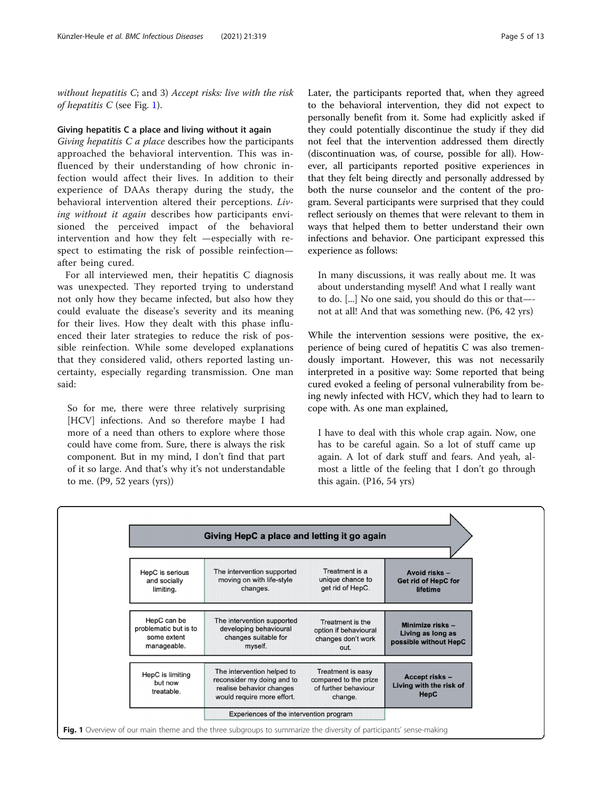<span id="page-4-0"></span>without hepatitis C; and 3) Accept risks: live with the risk of hepatitis  $C$  (see Fig. 1).

#### Giving hepatitis C a place and living without it again

Giving hepatitis  $C$  a place describes how the participants approached the behavioral intervention. This was influenced by their understanding of how chronic infection would affect their lives. In addition to their experience of DAAs therapy during the study, the behavioral intervention altered their perceptions. Living without it again describes how participants envisioned the perceived impact of the behavioral intervention and how they felt —especially with respect to estimating the risk of possible reinfection after being cured.

For all interviewed men, their hepatitis C diagnosis was unexpected. They reported trying to understand not only how they became infected, but also how they could evaluate the disease's severity and its meaning for their lives. How they dealt with this phase influenced their later strategies to reduce the risk of possible reinfection. While some developed explanations that they considered valid, others reported lasting uncertainty, especially regarding transmission. One man said:

So for me, there were three relatively surprising [HCV] infections. And so therefore maybe I had more of a need than others to explore where those could have come from. Sure, there is always the risk component. But in my mind, I don't find that part of it so large. And that's why it's not understandable to me. (P9, 52 years (yrs))

Later, the participants reported that, when they agreed to the behavioral intervention, they did not expect to personally benefit from it. Some had explicitly asked if they could potentially discontinue the study if they did not feel that the intervention addressed them directly (discontinuation was, of course, possible for all). However, all participants reported positive experiences in that they felt being directly and personally addressed by both the nurse counselor and the content of the program. Several participants were surprised that they could reflect seriously on themes that were relevant to them in ways that helped them to better understand their own infections and behavior. One participant expressed this experience as follows:

In many discussions, it was really about me. It was about understanding myself! And what I really want to do. [...] No one said, you should do this or that— not at all! And that was something new. (P6, 42 yrs)

While the intervention sessions were positive, the experience of being cured of hepatitis C was also tremendously important. However, this was not necessarily interpreted in a positive way: Some reported that being cured evoked a feeling of personal vulnerability from being newly infected with HCV, which they had to learn to cope with. As one man explained,

I have to deal with this whole crap again. Now, one has to be careful again. So a lot of stuff came up again. A lot of dark stuff and fears. And yeah, almost a little of the feeling that I don't go through this again. (P16, 54 yrs)

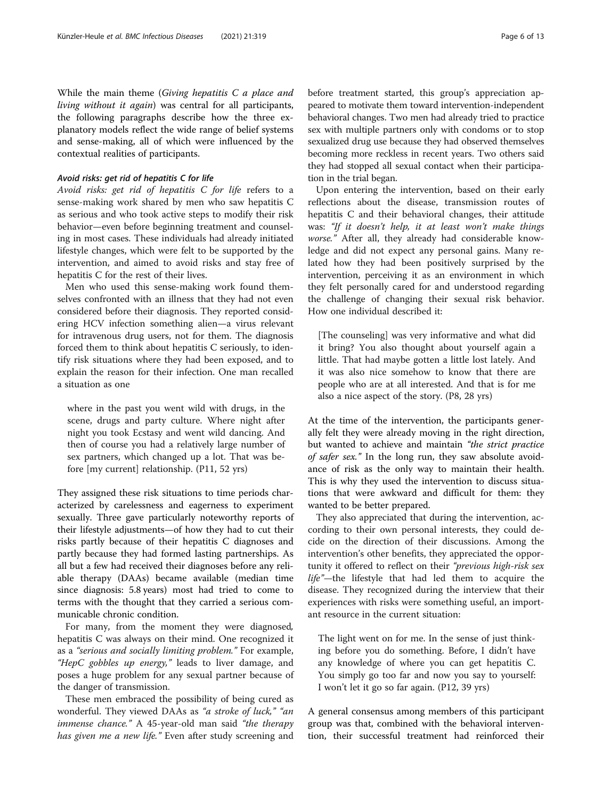While the main theme (Giving hepatitis C a place and living without it again) was central for all participants, the following paragraphs describe how the three explanatory models reflect the wide range of belief systems and sense-making, all of which were influenced by the contextual realities of participants.

# Avoid risks: get rid of hepatitis C for life

Avoid risks: get rid of hepatitis C for life refers to a sense-making work shared by men who saw hepatitis C as serious and who took active steps to modify their risk behavior—even before beginning treatment and counseling in most cases. These individuals had already initiated lifestyle changes, which were felt to be supported by the intervention, and aimed to avoid risks and stay free of hepatitis C for the rest of their lives.

Men who used this sense-making work found themselves confronted with an illness that they had not even considered before their diagnosis. They reported considering HCV infection something alien—a virus relevant for intravenous drug users, not for them. The diagnosis forced them to think about hepatitis C seriously, to identify risk situations where they had been exposed, and to explain the reason for their infection. One man recalled a situation as one

where in the past you went wild with drugs, in the scene, drugs and party culture. Where night after night you took Ecstasy and went wild dancing. And then of course you had a relatively large number of sex partners, which changed up a lot. That was before [my current] relationship. (P11, 52 yrs)

They assigned these risk situations to time periods characterized by carelessness and eagerness to experiment sexually. Three gave particularly noteworthy reports of their lifestyle adjustments—of how they had to cut their risks partly because of their hepatitis C diagnoses and partly because they had formed lasting partnerships. As all but a few had received their diagnoses before any reliable therapy (DAAs) became available (median time since diagnosis: 5.8 years) most had tried to come to terms with the thought that they carried a serious communicable chronic condition.

For many, from the moment they were diagnosed, hepatitis C was always on their mind. One recognized it as a "serious and socially limiting problem." For example, "HepC gobbles up energy," leads to liver damage, and poses a huge problem for any sexual partner because of the danger of transmission.

These men embraced the possibility of being cured as wonderful. They viewed DAAs as "a stroke of luck," "an immense chance." A 45-year-old man said "the therapy has given me a new life." Even after study screening and before treatment started, this group's appreciation appeared to motivate them toward intervention-independent behavioral changes. Two men had already tried to practice sex with multiple partners only with condoms or to stop sexualized drug use because they had observed themselves becoming more reckless in recent years. Two others said they had stopped all sexual contact when their participation in the trial began.

Upon entering the intervention, based on their early reflections about the disease, transmission routes of hepatitis C and their behavioral changes, their attitude was: "If it doesn't help, it at least won't make things worse." After all, they already had considerable knowledge and did not expect any personal gains. Many related how they had been positively surprised by the intervention, perceiving it as an environment in which they felt personally cared for and understood regarding the challenge of changing their sexual risk behavior. How one individual described it:

[The counseling] was very informative and what did it bring? You also thought about yourself again a little. That had maybe gotten a little lost lately. And it was also nice somehow to know that there are people who are at all interested. And that is for me also a nice aspect of the story. (P8, 28 yrs)

At the time of the intervention, the participants generally felt they were already moving in the right direction, but wanted to achieve and maintain "the strict practice of safer sex." In the long run, they saw absolute avoidance of risk as the only way to maintain their health. This is why they used the intervention to discuss situations that were awkward and difficult for them: they wanted to be better prepared.

They also appreciated that during the intervention, according to their own personal interests, they could decide on the direction of their discussions. Among the intervention's other benefits, they appreciated the opportunity it offered to reflect on their "previous high-risk sex life"-the lifestyle that had led them to acquire the disease. They recognized during the interview that their experiences with risks were something useful, an important resource in the current situation:

The light went on for me. In the sense of just thinking before you do something. Before, I didn't have any knowledge of where you can get hepatitis C. You simply go too far and now you say to yourself: I won't let it go so far again. (P12, 39 yrs)

A general consensus among members of this participant group was that, combined with the behavioral intervention, their successful treatment had reinforced their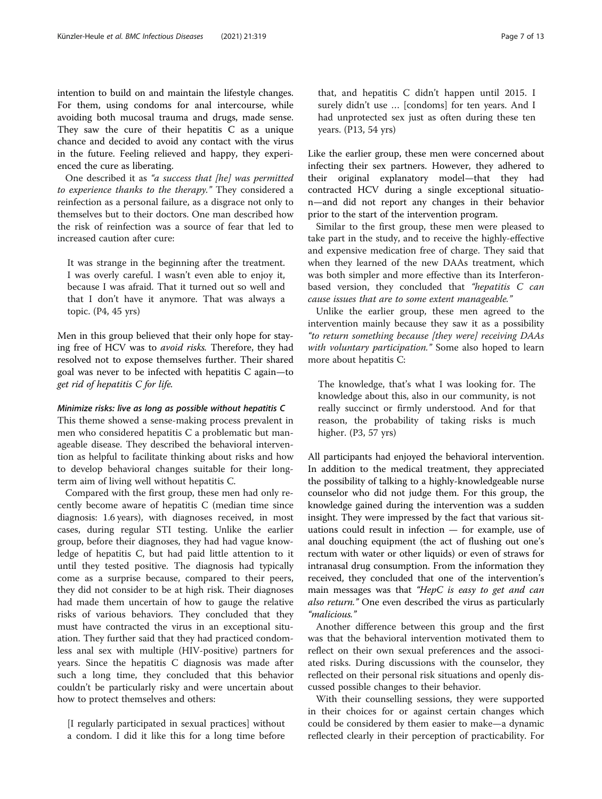intention to build on and maintain the lifestyle changes. For them, using condoms for anal intercourse, while avoiding both mucosal trauma and drugs, made sense. They saw the cure of their hepatitis C as a unique chance and decided to avoid any contact with the virus in the future. Feeling relieved and happy, they experienced the cure as liberating.

One described it as "a success that [he] was permitted to experience thanks to the therapy." They considered a reinfection as a personal failure, as a disgrace not only to themselves but to their doctors. One man described how the risk of reinfection was a source of fear that led to increased caution after cure:

It was strange in the beginning after the treatment. I was overly careful. I wasn't even able to enjoy it, because I was afraid. That it turned out so well and that I don't have it anymore. That was always a topic. (P4, 45 yrs)

Men in this group believed that their only hope for staying free of HCV was to avoid risks. Therefore, they had resolved not to expose themselves further. Their shared goal was never to be infected with hepatitis C again—to get rid of hepatitis C for life.

#### Minimize risks: live as long as possible without hepatitis C

This theme showed a sense-making process prevalent in men who considered hepatitis C a problematic but manageable disease. They described the behavioral intervention as helpful to facilitate thinking about risks and how to develop behavioral changes suitable for their longterm aim of living well without hepatitis C.

Compared with the first group, these men had only recently become aware of hepatitis C (median time since diagnosis: 1.6 years), with diagnoses received, in most cases, during regular STI testing. Unlike the earlier group, before their diagnoses, they had had vague knowledge of hepatitis C, but had paid little attention to it until they tested positive. The diagnosis had typically come as a surprise because, compared to their peers, they did not consider to be at high risk. Their diagnoses had made them uncertain of how to gauge the relative risks of various behaviors. They concluded that they must have contracted the virus in an exceptional situation. They further said that they had practiced condomless anal sex with multiple (HIV-positive) partners for years. Since the hepatitis C diagnosis was made after such a long time, they concluded that this behavior couldn't be particularly risky and were uncertain about how to protect themselves and others:

[I regularly participated in sexual practices] without a condom. I did it like this for a long time before

Like the earlier group, these men were concerned about infecting their sex partners. However, they adhered to their original explanatory model—that they had contracted HCV during a single exceptional situation—and did not report any changes in their behavior prior to the start of the intervention program.

had unprotected sex just as often during these ten

years. (P13, 54 yrs)

Similar to the first group, these men were pleased to take part in the study, and to receive the highly-effective and expensive medication free of charge. They said that when they learned of the new DAAs treatment, which was both simpler and more effective than its Interferonbased version, they concluded that "hepatitis C can cause issues that are to some extent manageable."

Unlike the earlier group, these men agreed to the intervention mainly because they saw it as a possibility "to return something because [they were] receiving DAAs with voluntary participation." Some also hoped to learn more about hepatitis C:

The knowledge, that's what I was looking for. The knowledge about this, also in our community, is not really succinct or firmly understood. And for that reason, the probability of taking risks is much higher. (P3, 57 yrs)

All participants had enjoyed the behavioral intervention. In addition to the medical treatment, they appreciated the possibility of talking to a highly-knowledgeable nurse counselor who did not judge them. For this group, the knowledge gained during the intervention was a sudden insight. They were impressed by the fact that various situations could result in infection — for example, use of anal douching equipment (the act of flushing out one's rectum with water or other liquids) or even of straws for intranasal drug consumption. From the information they received, they concluded that one of the intervention's main messages was that "HepC is easy to get and can also return." One even described the virus as particularly "malicious."

Another difference between this group and the first was that the behavioral intervention motivated them to reflect on their own sexual preferences and the associated risks. During discussions with the counselor, they reflected on their personal risk situations and openly discussed possible changes to their behavior.

With their counselling sessions, they were supported in their choices for or against certain changes which could be considered by them easier to make—a dynamic reflected clearly in their perception of practicability. For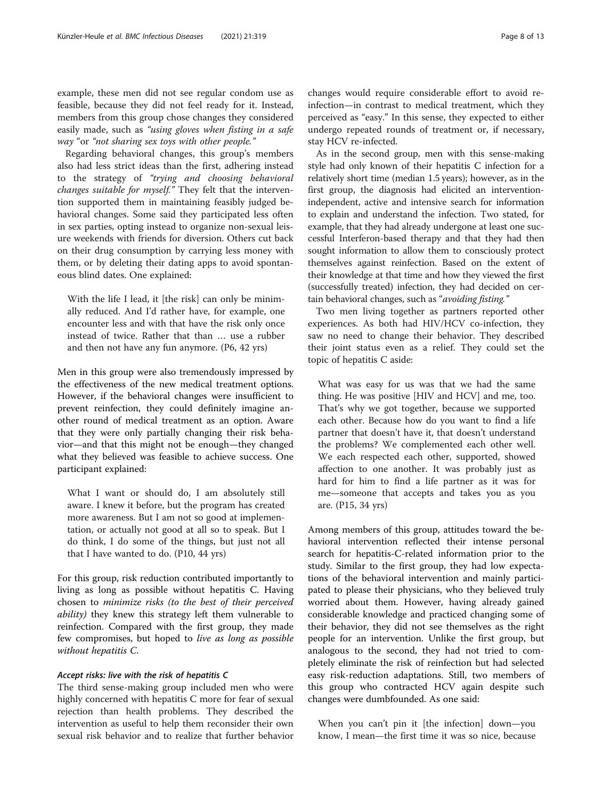example, these men did not see regular condom use as feasible, because they did not feel ready for it. Instead, members from this group chose changes they considered easily made, such as "using gloves when fisting in a safe way "or "not sharing sex toys with other people."

Regarding behavioral changes, this group's members also had less strict ideas than the first, adhering instead to the strategy of "trying and choosing behavioral changes suitable for myself." They felt that the intervention supported them in maintaining feasibly judged behavioral changes. Some said they participated less often in sex parties, opting instead to organize non-sexual leisure weekends with friends for diversion. Others cut back on their drug consumption by carrying less money with them, or by deleting their dating apps to avoid spontaneous blind dates. One explained:

With the life I lead, it [the risk] can only be minimally reduced. And I'd rather have, for example, one encounter less and with that have the risk only once instead of twice. Rather that than … use a rubber and then not have any fun anymore. (P6, 42 yrs)

Men in this group were also tremendously impressed by the effectiveness of the new medical treatment options. However, if the behavioral changes were insufficient to prevent reinfection, they could definitely imagine another round of medical treatment as an option. Aware that they were only partially changing their risk behavior—and that this might not be enough—they changed what they believed was feasible to achieve success. One participant explained:

What I want or should do, I am absolutely still aware. I knew it before, but the program has created more awareness. But I am not so good at implementation, or actually not good at all so to speak. But I do think, I do some of the things, but just not all that I have wanted to do. (P10, 44 yrs)

For this group, risk reduction contributed importantly to living as long as possible without hepatitis C. Having chosen to minimize risks (to the best of their perceived *ability*) they knew this strategy left them vulnerable to reinfection. Compared with the first group, they made few compromises, but hoped to live as long as possible without hepatitis C.

# Accept risks: live with the risk of hepatitis C

The third sense-making group included men who were highly concerned with hepatitis C more for fear of sexual rejection than health problems. They described the intervention as useful to help them reconsider their own sexual risk behavior and to realize that further behavior changes would require considerable effort to avoid reinfection—in contrast to medical treatment, which they perceived as "easy." In this sense, they expected to either undergo repeated rounds of treatment or, if necessary, stay HCV re-infected.

As in the second group, men with this sense-making style had only known of their hepatitis C infection for a relatively short time (median 1.5 years); however, as in the first group, the diagnosis had elicited an interventionindependent, active and intensive search for information to explain and understand the infection. Two stated, for example, that they had already undergone at least one successful Interferon-based therapy and that they had then sought information to allow them to consciously protect themselves against reinfection. Based on the extent of their knowledge at that time and how they viewed the first (successfully treated) infection, they had decided on certain behavioral changes, such as "avoiding fisting."

Two men living together as partners reported other experiences. As both had HIV/HCV co-infection, they saw no need to change their behavior. They described their joint status even as a relief. They could set the topic of hepatitis C aside:

What was easy for us was that we had the same thing. He was positive [HIV and HCV] and me, too. That's why we got together, because we supported each other. Because how do you want to find a life partner that doesn't have it, that doesn't understand the problems? We complemented each other well. We each respected each other, supported, showed affection to one another. It was probably just as hard for him to find a life partner as it was for me—someone that accepts and takes you as you are. (P15, 34 yrs)

Among members of this group, attitudes toward the behavioral intervention reflected their intense personal search for hepatitis-C-related information prior to the study. Similar to the first group, they had low expectations of the behavioral intervention and mainly participated to please their physicians, who they believed truly worried about them. However, having already gained considerable knowledge and practiced changing some of their behavior, they did not see themselves as the right people for an intervention. Unlike the first group, but analogous to the second, they had not tried to completely eliminate the risk of reinfection but had selected easy risk-reduction adaptations. Still, two members of this group who contracted HCV again despite such changes were dumbfounded. As one said:

When you can't pin it [the infection] down—you know, I mean—the first time it was so nice, because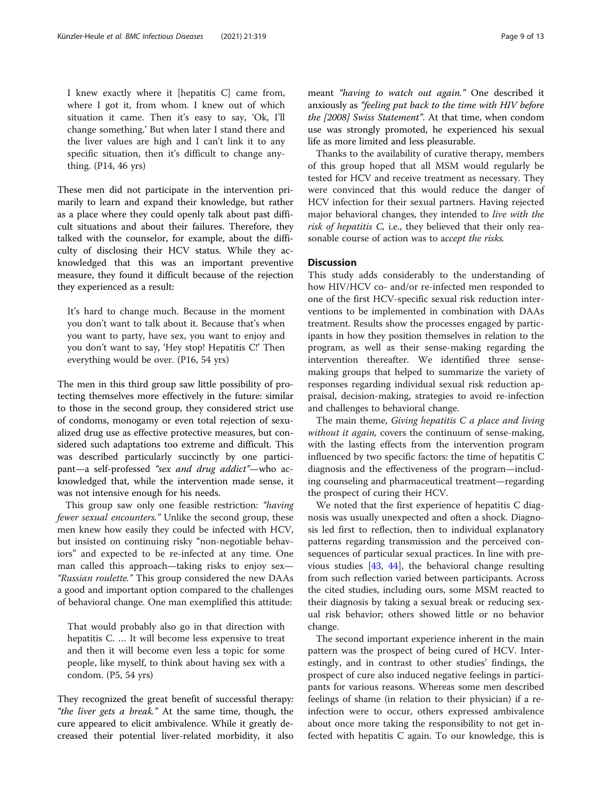I knew exactly where it [hepatitis C] came from, where I got it, from whom. I knew out of which situation it came. Then it's easy to say, 'Ok, I'll change something.' But when later I stand there and the liver values are high and I can't link it to any specific situation, then it's difficult to change anything. (P14, 46 yrs)

These men did not participate in the intervention primarily to learn and expand their knowledge, but rather as a place where they could openly talk about past difficult situations and about their failures. Therefore, they talked with the counselor, for example, about the difficulty of disclosing their HCV status. While they acknowledged that this was an important preventive measure, they found it difficult because of the rejection they experienced as a result:

It's hard to change much. Because in the moment you don't want to talk about it. Because that's when you want to party, have sex, you want to enjoy and you don't want to say, 'Hey stop! Hepatitis C!' Then everything would be over. (P16, 54 yrs)

The men in this third group saw little possibility of protecting themselves more effectively in the future: similar to those in the second group, they considered strict use of condoms, monogamy or even total rejection of sexualized drug use as effective protective measures, but considered such adaptations too extreme and difficult. This was described particularly succinctly by one participant—a self-professed "sex and drug addict"—who acknowledged that, while the intervention made sense, it was not intensive enough for his needs.

This group saw only one feasible restriction: "having fewer sexual encounters." Unlike the second group, these men knew how easily they could be infected with HCV, but insisted on continuing risky "non-negotiable behaviors" and expected to be re-infected at any time. One man called this approach—taking risks to enjoy sex— "Russian roulette." This group considered the new DAAs a good and important option compared to the challenges of behavioral change. One man exemplified this attitude:

That would probably also go in that direction with hepatitis C. … It will become less expensive to treat and then it will become even less a topic for some people, like myself, to think about having sex with a condom. (P5, 54 yrs)

They recognized the great benefit of successful therapy: "the liver gets a break." At the same time, though, the cure appeared to elicit ambivalence. While it greatly decreased their potential liver-related morbidity, it also meant "having to watch out again." One described it anxiously as "feeling put back to the time with HIV before the [2008] Swiss Statement". At that time, when condom use was strongly promoted, he experienced his sexual life as more limited and less pleasurable.

Thanks to the availability of curative therapy, members of this group hoped that all MSM would regularly be tested for HCV and receive treatment as necessary. They were convinced that this would reduce the danger of HCV infection for their sexual partners. Having rejected major behavioral changes, they intended to live with the risk of hepatitis C, i.e., they believed that their only reasonable course of action was to accept the risks.

# **Discussion**

This study adds considerably to the understanding of how HIV/HCV co- and/or re-infected men responded to one of the first HCV-specific sexual risk reduction interventions to be implemented in combination with DAAs treatment. Results show the processes engaged by participants in how they position themselves in relation to the program, as well as their sense-making regarding the intervention thereafter. We identified three sensemaking groups that helped to summarize the variety of responses regarding individual sexual risk reduction appraisal, decision-making, strategies to avoid re-infection and challenges to behavioral change.

The main theme, *Giving hepatitis C a place and living* without it again, covers the continuum of sense-making, with the lasting effects from the intervention program influenced by two specific factors: the time of hepatitis C diagnosis and the effectiveness of the program—including counseling and pharmaceutical treatment—regarding the prospect of curing their HCV.

We noted that the first experience of hepatitis C diagnosis was usually unexpected and often a shock. Diagnosis led first to reflection, then to individual explanatory patterns regarding transmission and the perceived consequences of particular sexual practices. In line with previous studies [\[43](#page-12-0), [44](#page-12-0)], the behavioral change resulting from such reflection varied between participants. Across the cited studies, including ours, some MSM reacted to their diagnosis by taking a sexual break or reducing sexual risk behavior; others showed little or no behavior change.

The second important experience inherent in the main pattern was the prospect of being cured of HCV. Interestingly, and in contrast to other studies' findings, the prospect of cure also induced negative feelings in participants for various reasons. Whereas some men described feelings of shame (in relation to their physician) if a reinfection were to occur, others expressed ambivalence about once more taking the responsibility to not get infected with hepatitis C again. To our knowledge, this is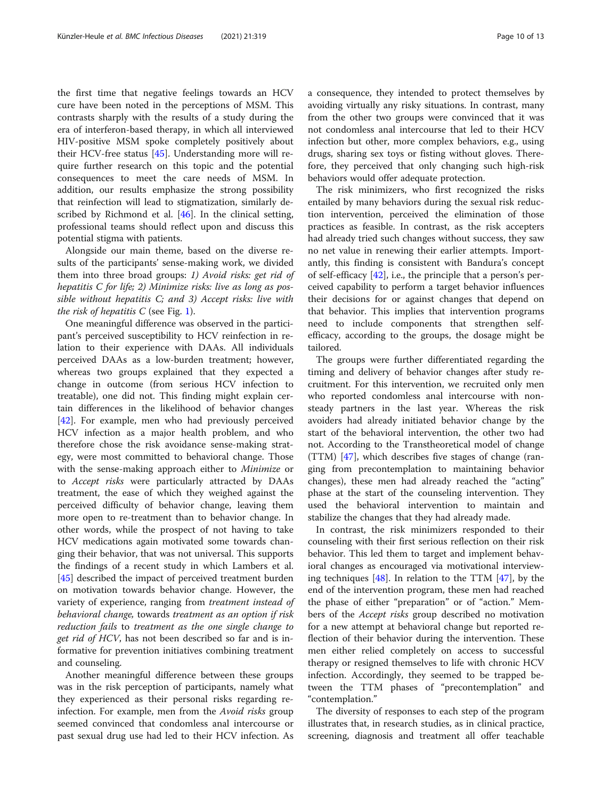the first time that negative feelings towards an HCV cure have been noted in the perceptions of MSM. This contrasts sharply with the results of a study during the era of interferon-based therapy, in which all interviewed HIV-positive MSM spoke completely positively about their HCV-free status [\[45\]](#page-12-0). Understanding more will require further research on this topic and the potential consequences to meet the care needs of MSM. In addition, our results emphasize the strong possibility that reinfection will lead to stigmatization, similarly described by Richmond et al. [[46](#page-12-0)]. In the clinical setting, professional teams should reflect upon and discuss this potential stigma with patients.

Alongside our main theme, based on the diverse results of the participants' sense-making work, we divided them into three broad groups: 1) Avoid risks: get rid of hepatitis C for life; 2) Minimize risks: live as long as possible without hepatitis C; and 3) Accept risks: live with the risk of hepatitis  $C$  (see Fig. [1\)](#page-4-0).

One meaningful difference was observed in the participant's perceived susceptibility to HCV reinfection in relation to their experience with DAAs. All individuals perceived DAAs as a low-burden treatment; however, whereas two groups explained that they expected a change in outcome (from serious HCV infection to treatable), one did not. This finding might explain certain differences in the likelihood of behavior changes [[42\]](#page-12-0). For example, men who had previously perceived HCV infection as a major health problem, and who therefore chose the risk avoidance sense-making strategy, were most committed to behavioral change. Those with the sense-making approach either to Minimize or to Accept risks were particularly attracted by DAAs treatment, the ease of which they weighed against the perceived difficulty of behavior change, leaving them more open to re-treatment than to behavior change. In other words, while the prospect of not having to take HCV medications again motivated some towards changing their behavior, that was not universal. This supports the findings of a recent study in which Lambers et al. [[45\]](#page-12-0) described the impact of perceived treatment burden on motivation towards behavior change. However, the variety of experience, ranging from treatment instead of behavioral change, towards treatment as an option if risk reduction fails to treatment as the one single change to get rid of HCV, has not been described so far and is informative for prevention initiatives combining treatment and counseling.

Another meaningful difference between these groups was in the risk perception of participants, namely what they experienced as their personal risks regarding reinfection. For example, men from the *Avoid risks* group seemed convinced that condomless anal intercourse or past sexual drug use had led to their HCV infection. As a consequence, they intended to protect themselves by avoiding virtually any risky situations. In contrast, many from the other two groups were convinced that it was not condomless anal intercourse that led to their HCV infection but other, more complex behaviors, e.g., using drugs, sharing sex toys or fisting without gloves. Therefore, they perceived that only changing such high-risk behaviors would offer adequate protection.

The risk minimizers, who first recognized the risks entailed by many behaviors during the sexual risk reduction intervention, perceived the elimination of those practices as feasible. In contrast, as the risk accepters had already tried such changes without success, they saw no net value in renewing their earlier attempts. Importantly, this finding is consistent with Bandura's concept of self-efficacy [\[42](#page-12-0)], i.e., the principle that a person's perceived capability to perform a target behavior influences their decisions for or against changes that depend on that behavior. This implies that intervention programs need to include components that strengthen selfefficacy, according to the groups, the dosage might be tailored.

The groups were further differentiated regarding the timing and delivery of behavior changes after study recruitment. For this intervention, we recruited only men who reported condomless anal intercourse with nonsteady partners in the last year. Whereas the risk avoiders had already initiated behavior change by the start of the behavioral intervention, the other two had not. According to the Transtheoretical model of change (TTM) [\[47\]](#page-12-0), which describes five stages of change (ranging from precontemplation to maintaining behavior changes), these men had already reached the "acting" phase at the start of the counseling intervention. They used the behavioral intervention to maintain and stabilize the changes that they had already made.

In contrast, the risk minimizers responded to their counseling with their first serious reflection on their risk behavior. This led them to target and implement behavioral changes as encouraged via motivational interviewing techniques [[48](#page-12-0)]. In relation to the TTM [\[47\]](#page-12-0), by the end of the intervention program, these men had reached the phase of either "preparation" or of "action." Members of the *Accept risks* group described no motivation for a new attempt at behavioral change but reported reflection of their behavior during the intervention. These men either relied completely on access to successful therapy or resigned themselves to life with chronic HCV infection. Accordingly, they seemed to be trapped between the TTM phases of "precontemplation" and "contemplation."

The diversity of responses to each step of the program illustrates that, in research studies, as in clinical practice, screening, diagnosis and treatment all offer teachable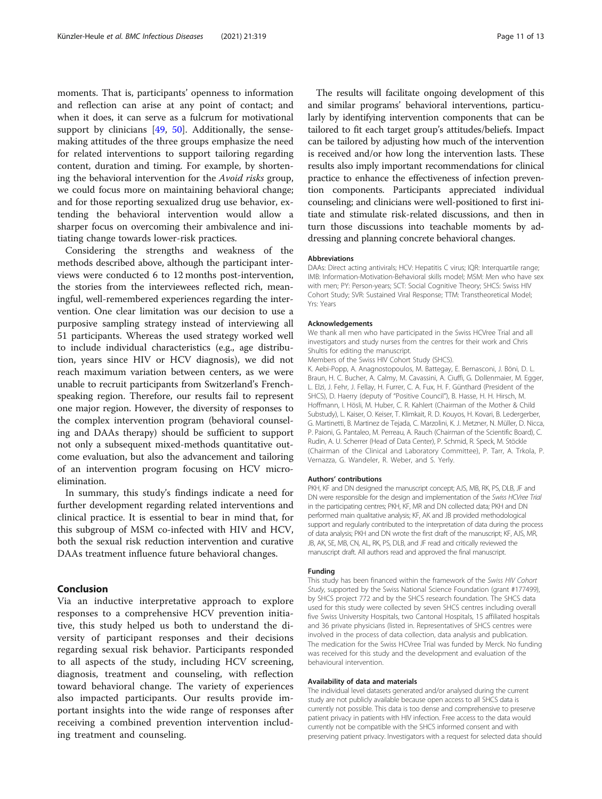moments. That is, participants' openness to information and reflection can arise at any point of contact; and when it does, it can serve as a fulcrum for motivational support by clinicians [\[49](#page-12-0), [50](#page-12-0)]. Additionally, the sensemaking attitudes of the three groups emphasize the need for related interventions to support tailoring regarding content, duration and timing. For example, by shortening the behavioral intervention for the Avoid risks group, we could focus more on maintaining behavioral change; and for those reporting sexualized drug use behavior, extending the behavioral intervention would allow a sharper focus on overcoming their ambivalence and initiating change towards lower-risk practices.

Considering the strengths and weakness of the methods described above, although the participant interviews were conducted 6 to 12 months post-intervention, the stories from the interviewees reflected rich, meaningful, well-remembered experiences regarding the intervention. One clear limitation was our decision to use a purposive sampling strategy instead of interviewing all 51 participants. Whereas the used strategy worked well to include individual characteristics (e.g., age distribution, years since HIV or HCV diagnosis), we did not reach maximum variation between centers, as we were unable to recruit participants from Switzerland's Frenchspeaking region. Therefore, our results fail to represent one major region. However, the diversity of responses to the complex intervention program (behavioral counseling and DAAs therapy) should be sufficient to support not only a subsequent mixed-methods quantitative outcome evaluation, but also the advancement and tailoring of an intervention program focusing on HCV microelimination.

In summary, this study's findings indicate a need for further development regarding related interventions and clinical practice. It is essential to bear in mind that, for this subgroup of MSM co-infected with HIV and HCV, both the sexual risk reduction intervention and curative DAAs treatment influence future behavioral changes.

# Conclusion

Via an inductive interpretative approach to explore responses to a comprehensive HCV prevention initiative, this study helped us both to understand the diversity of participant responses and their decisions regarding sexual risk behavior. Participants responded to all aspects of the study, including HCV screening, diagnosis, treatment and counseling, with reflection toward behavioral change. The variety of experiences also impacted participants. Our results provide important insights into the wide range of responses after receiving a combined prevention intervention including treatment and counseling.

The results will facilitate ongoing development of this and similar programs' behavioral interventions, particularly by identifying intervention components that can be tailored to fit each target group's attitudes/beliefs. Impact can be tailored by adjusting how much of the intervention is received and/or how long the intervention lasts. These results also imply important recommendations for clinical practice to enhance the effectiveness of infection prevention components. Participants appreciated individual counseling; and clinicians were well-positioned to first initiate and stimulate risk-related discussions, and then in turn those discussions into teachable moments by addressing and planning concrete behavioral changes.

#### Abbreviations

DAAs: Direct acting antivirals; HCV: Hepatitis C virus; IQR: Interquartile range; IMB: Information-Motivation-Behavioral skills model; MSM: Men who have sex with men; PY: Person-years; SCT: Social Cognitive Theory; SHCS: Swiss HIV Cohort Study; SVR: Sustained Viral Response; TTM: Transtheoretical Model; Yrs: Years

#### Acknowledgements

We thank all men who have participated in the Swiss HCVree Trial and all investigators and study nurses from the centres for their work and Chris Shultis for editing the manuscript.

Members of the Swiss HIV Cohort Study (SHCS).

K. Aebi-Popp, A. Anagnostopoulos, M. Battegay, E. Bernasconi, J. Böni, D. L. Braun, H. C. Bucher, A. Calmy, M. Cavassini, A. Ciuffi, G. Dollenmaier, M. Egger, L. Elzi, J. Fehr, J. Fellay, H. Furrer, C. A. Fux, H. F. Günthard (President of the SHCS), D. Haerry (deputy of "Positive Council"), B. Hasse, H. H. Hirsch, M. Hoffmann, I. Hösli, M. Huber, C. R. Kahlert (Chairman of the Mother & Child Substudy), L. Kaiser, O. Keiser, T. Klimkait, R. D. Kouyos, H. Kovari, B. Ledergerber, G. Martinetti, B. Martinez de Tejada, C. Marzolini, K. J. Metzner, N. Müller, D. Nicca, P. Paioni, G. Pantaleo, M. Perreau, A. Rauch (Chairman of the Scientific Board), C. Rudin, A. U. Scherrer (Head of Data Center), P. Schmid, R. Speck, M. Stöckle (Chairman of the Clinical and Laboratory Committee), P. Tarr, A. Trkola, P. Vernazza, G. Wandeler, R. Weber, and S. Yerly.

#### Authors' contributions

PKH, KE and DN designed the manuscript concept: AJS, MB, RK, PS, DLB, JE and DN were responsible for the design and implementation of the Swiss HCVree Trial in the participating centres; PKH, KF, MR and DN collected data; PKH and DN performed main qualitative analysis; KF, AK and JB provided methodological support and regularly contributed to the interpretation of data during the process of data analysis; PKH and DN wrote the first draft of the manuscript; KF, AJS, MR, JB, AK, SE, MB, CN, AL, RK, PS, DLB, and JF read and critically reviewed the manuscript draft. All authors read and approved the final manuscript.

#### Funding

This study has been financed within the framework of the Swiss HIV Cohort Study, supported by the Swiss National Science Foundation (grant #177499), by SHCS project 772 and by the SHCS research foundation. The SHCS data used for this study were collected by seven SHCS centres including overall five Swiss University Hospitals, two Cantonal Hospitals, 15 affiliated hospitals and 36 private physicians (listed in. Representatives of SHCS centres were involved in the process of data collection, data analysis and publication. The medication for the Swiss HCVree Trial was funded by Merck. No funding was received for this study and the development and evaluation of the behavioural intervention.

#### Availability of data and materials

The individual level datasets generated and/or analysed during the current study are not publicly available because open access to all SHCS data is currently not possible. This data is too dense and comprehensive to preserve patient privacy in patients with HIV infection. Free access to the data would currently not be compatible with the SHCS informed consent and with preserving patient privacy. Investigators with a request for selected data should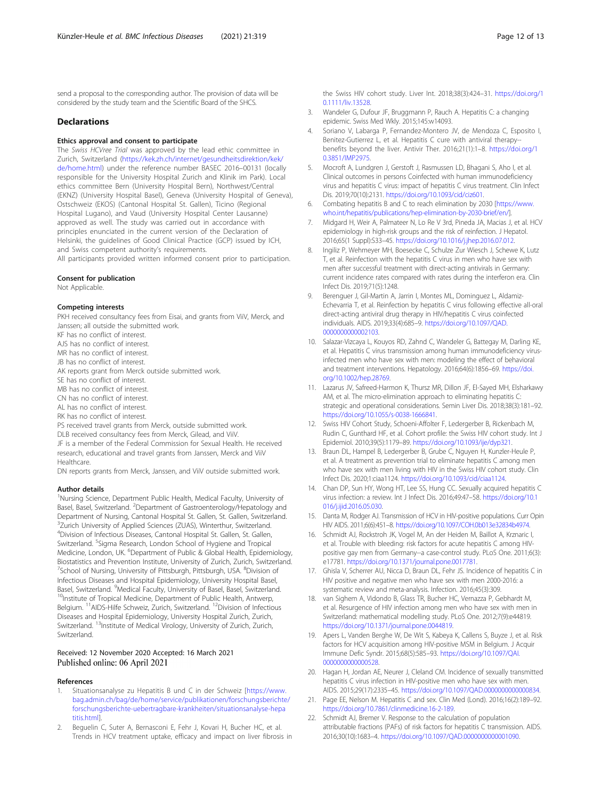<span id="page-11-0"></span>send a proposal to the corresponding author. The provision of data will be considered by the study team and the Scientific Board of the SHCS.

#### **Declarations**

#### Ethics approval and consent to participate

The Swiss HCVree Trial was approved by the lead ethic committee in Zurich, Switzerland ([https://kek.zh.ch/internet/gesundheitsdirektion/kek/](https://kek.zh.ch/internet/gesundheitsdirektion/kek/de/home.html) [de/home.html\)](https://kek.zh.ch/internet/gesundheitsdirektion/kek/de/home.html) under the reference number BASEC 2016–00131 (locally responsible for the University Hospital Zurich and Klinik im Park). Local ethics committee Bern (University Hospital Bern), Northwest/Central (EKNZ) (University Hospital Basel), Geneva (University Hospital of Geneva), Ostschweiz (EKOS) (Cantonal Hospital St. Gallen), Ticino (Regional Hospital Lugano), and Vaud (University Hospital Center Lausanne) approved as well. The study was carried out in accordance with principles enunciated in the current version of the Declaration of Helsinki, the guidelines of Good Clinical Practice (GCP) issued by ICH, and Swiss competent authority's requirements. All participants provided written informed consent prior to participation.

#### Consent for publication

Not Applicable.

#### Competing interests

PKH received consultancy fees from Eisai, and grants from ViiV, Merck, and Janssen; all outside the submitted work.

KF has no conflict of interest.

AJS has no conflict of interest.

MR has no conflict of interest.

JB has no conflict of interest.

AK reports grant from Merck outside submitted work.

SE has no conflict of interest. MB has no conflict of interest.

CN has no conflict of interest.

AL has no conflict of interest.

RK has no conflict of interest.

PS received travel grants from Merck, outside submitted work. DLB received consultancy fees from Merck, Gilead, and ViiV.

JF is a member of the Federal Commission for Sexual Health. He received research, educational and travel grants from Janssen, Merck and ViiV Healthcare.

DN reports grants from Merck, Janssen, and ViiV outside submitted work.

#### Author details

<sup>1</sup>Nursing Science, Department Public Health, Medical Faculty, University of Basel, Basel, Switzerland. <sup>2</sup>Department of Gastroenterology/Hepatology and Department of Nursing, Cantonal Hospital St. Gallen, St. Gallen, Switzerland. <sup>3</sup>Zurich University of Applied Sciences (ZUAS), Winterthur, Switzerland. 4 Division of Infectious Diseases, Cantonal Hospital St. Gallen, St. Gallen, Switzerland. <sup>5</sup>Sigma Research, London School of Hygiene and Tropical Medicine, London, UK. <sup>6</sup>Department of Public & Global Health, Epidemiology, Biostatistics and Prevention Institute, University of Zurich, Zurich, Switzerland. <sup>7</sup>School of Nursing, University of Pittsburgh, Pittsburgh, USA. <sup>8</sup>Division of Infectious Diseases and Hospital Epidemiology, University Hospital Basel, Basel, Switzerland. <sup>9</sup>Medical Faculty, University of Basel, Basel, Switzerland. <sup>10</sup>Institute of Tropical Medicine, Department of Public Health, Antwerp, Belgium. <sup>11</sup>AIDS-Hilfe Schweiz, Zurich, Switzerland. <sup>12</sup>Division of Infectious Diseases and Hospital Epidemiology, University Hospital Zurich, Zurich, Switzerland. <sup>13</sup>Institute of Medical Virology, University of Zurich, Zurich, Switzerland.

# Received: 12 November 2020 Accepted: 16 March 2021 Published online: 06 April 2021

#### References

- Situationsanalyse zu Hepatitis B und C in der Schweiz [[https://www.](https://www.bag.admin.ch/bag/de/home/service/publikationen/forschungsberichte/forschungsberichte-uebertragbare-krankheiten/situationsanalyse-hepatitis.html) [bag.admin.ch/bag/de/home/service/publikationen/forschungsberichte/](https://www.bag.admin.ch/bag/de/home/service/publikationen/forschungsberichte/forschungsberichte-uebertragbare-krankheiten/situationsanalyse-hepatitis.html) [forschungsberichte-uebertragbare-krankheiten/situationsanalyse-hepa](https://www.bag.admin.ch/bag/de/home/service/publikationen/forschungsberichte/forschungsberichte-uebertragbare-krankheiten/situationsanalyse-hepatitis.html) [titis.html\]](https://www.bag.admin.ch/bag/de/home/service/publikationen/forschungsberichte/forschungsberichte-uebertragbare-krankheiten/situationsanalyse-hepatitis.html).
- Beguelin C, Suter A, Bernasconi E, Fehr J, Kovari H, Bucher HC, et al. Trends in HCV treatment uptake, efficacy and impact on liver fibrosis in

the Swiss HIV cohort study. Liver Int. 2018;38(3):424–31. [https://doi.org/1](https://doi.org/10.1111/liv.13528) [0.1111/liv.13528](https://doi.org/10.1111/liv.13528).

- 3. Wandeler G, Dufour JF, Bruggmann P, Rauch A. Hepatitis C: a changing epidemic. Swiss Med Wkly. 2015;145:w14093.
- 4. Soriano V, Labarga P, Fernandez-Montero JV, de Mendoza C, Esposito I, Benitez-Gutierrez L, et al. Hepatitis C cure with antiviral therapy- benefits beyond the liver. Antivir Ther. 2016;21(1):1–8. [https://doi.org/1](https://doi.org/10.3851/IMP2975) [0.3851/IMP2975.](https://doi.org/10.3851/IMP2975)
- 5. Mocroft A, Lundgren J, Gerstoft J, Rasmussen LD, Bhagani S, Aho I, et al. Clinical outcomes in persons Coinfected with human immunodeficiency virus and hepatitis C virus: impact of hepatitis C virus treatment. Clin Infect Dis. 2019;70(10):2131. [https://doi.org/10.1093/cid/ciz601.](https://doi.org/10.1093/cid/ciz601)
- 6. Combating hepatitis B and C to reach elimination by 2030 [\[https://www.](https://www.who.int/hepatitis/publications/hep-elimination-by-2030-brief/en/) [who.int/hepatitis/publications/hep-elimination-by-2030-brief/en/\]](https://www.who.int/hepatitis/publications/hep-elimination-by-2030-brief/en/).
- 7. Midgard H, Weir A, Palmateer N, Lo Re V 3rd, Pineda JA, Macias J, et al. HCV epidemiology in high-risk groups and the risk of reinfection. J Hepatol. 2016;65(1 Suppl):S33–45. <https://doi.org/10.1016/j.jhep.2016.07.012>.
- 8. Ingiliz P, Wehmeyer MH, Boesecke C, Schulze Zur Wiesch J, Schewe K, Lutz T, et al. Reinfection with the hepatitis C virus in men who have sex with men after successful treatment with direct-acting antivirals in Germany: current incidence rates compared with rates during the interferon era. Clin Infect Dis. 2019;71(5):1248.
- 9. Berenguer J, Gil-Martin A, Jarrin I, Montes ML, Dominguez L, Aldamiz-Echevarria T, et al. Reinfection by hepatitis C virus following effective all-oral direct-acting antiviral drug therapy in HIV/hepatitis C virus coinfected individuals. AIDS. 2019;33(4):685–9. [https://doi.org/10.1097/QAD.](https://doi.org/10.1097/QAD.0000000000002103) [0000000000002103](https://doi.org/10.1097/QAD.0000000000002103).
- 10. Salazar-Vizcaya L, Kouyos RD, Zahnd C, Wandeler G, Battegay M, Darling KE, et al. Hepatitis C virus transmission among human immunodeficiency virusinfected men who have sex with men: modeling the effect of behavioral and treatment interventions. Hepatology. 2016;64(6):1856–69. [https://doi.](https://doi.org/10.1002/hep.28769) [org/10.1002/hep.28769](https://doi.org/10.1002/hep.28769).
- 11. Lazarus JV, Safreed-Harmon K, Thursz MR, Dillon JF, El-Sayed MH, Elsharkawy AM, et al. The micro-elimination approach to eliminating hepatitis C: strategic and operational considerations. Semin Liver Dis. 2018;38(3):181–92. <https://doi.org/10.1055/s-0038-1666841>.
- 12. Swiss HIV Cohort Study, Schoeni-Affolter F, Ledergerber B, Rickenbach M, Rudin C, Gunthard HF, et al. Cohort profile: the Swiss HIV cohort study. Int J Epidemiol. 2010;39(5):1179–89. [https://doi.org/10.1093/ije/dyp321.](https://doi.org/10.1093/ije/dyp321)
- 13. Braun DL, Hampel B, Ledergerber B, Grube C, Nguyen H, Kunzler-Heule P, et al. A treatment as prevention trial to eliminate hepatitis C among men who have sex with men living with HIV in the Swiss HIV cohort study. Clin Infect Dis. 2020;1:ciaa1124. [https://doi.org/10.1093/cid/ciaa1124.](https://doi.org/10.1093/cid/ciaa1124)
- 14. Chan DP, Sun HY, Wong HT, Lee SS, Hung CC. Sexually acquired hepatitis C virus infection: a review. Int J Infect Dis. 2016;49:47–58. [https://doi.org/10.1](https://doi.org/10.1016/j.ijid.2016.05.030) [016/j.ijid.2016.05.030.](https://doi.org/10.1016/j.ijid.2016.05.030)
- 15. Danta M, Rodger AJ. Transmission of HCV in HIV-positive populations. Curr Opin HIV AIDS. 2011;6(6):451–8. [https://doi.org/10.1097/COH.0b013e32834b4974.](https://doi.org/10.1097/COH.0b013e32834b4974)
- 16. Schmidt AJ, Rockstroh JK, Vogel M, An der Heiden M, Baillot A, Krznaric I, et al. Trouble with bleeding: risk factors for acute hepatitis C among HIVpositive gay men from Germany--a case-control study. PLoS One. 2011;6(3): e17781. <https://doi.org/10.1371/journal.pone.0017781>.
- 17. Ghisla V, Scherrer AU, Nicca D, Braun DL, Fehr JS. Incidence of hepatitis C in HIV positive and negative men who have sex with men 2000-2016: a systematic review and meta-analysis. Infection. 2016;45(3):309.
- 18. van Sighem A, Vidondo B, Glass TR, Bucher HC, Vernazza P, Gebhardt M, et al. Resurgence of HIV infection among men who have sex with men in Switzerland: mathematical modelling study. PLoS One. 2012;7(9):e44819. [https://doi.org/10.1371/journal.pone.0044819.](https://doi.org/10.1371/journal.pone.0044819)
- 19. Apers L, Vanden Berghe W, De Wit S, Kabeya K, Callens S, Buyze J, et al. Risk factors for HCV acquisition among HIV-positive MSM in Belgium. J Acquir Immune Defic Syndr. 2015;68(5):585–93. [https://doi.org/10.1097/QAI.](https://doi.org/10.1097/QAI.0000000000000528) [0000000000000528](https://doi.org/10.1097/QAI.0000000000000528).
- 20. Hagan H, Jordan AE, Neurer J, Cleland CM. Incidence of sexually transmitted hepatitis C virus infection in HIV-positive men who have sex with men. AIDS. 2015;29(17):2335–45. [https://doi.org/10.1097/QAD.0000000000000834.](https://doi.org/10.1097/QAD.0000000000000834)
- 21. Page EE, Nelson M. Hepatitis C and sex. Clin Med (Lond). 2016;16(2):189–92. [https://doi.org/10.7861/clinmedicine.16-2-189.](https://doi.org/10.7861/clinmedicine.16-2-189)
- 22. Schmidt AJ, Bremer V. Response to the calculation of population attributable fractions (PAFs) of risk factors for hepatitis C transmission. AIDS. 2016;30(10):1683–4. [https://doi.org/10.1097/QAD.0000000000001090.](https://doi.org/10.1097/QAD.0000000000001090)